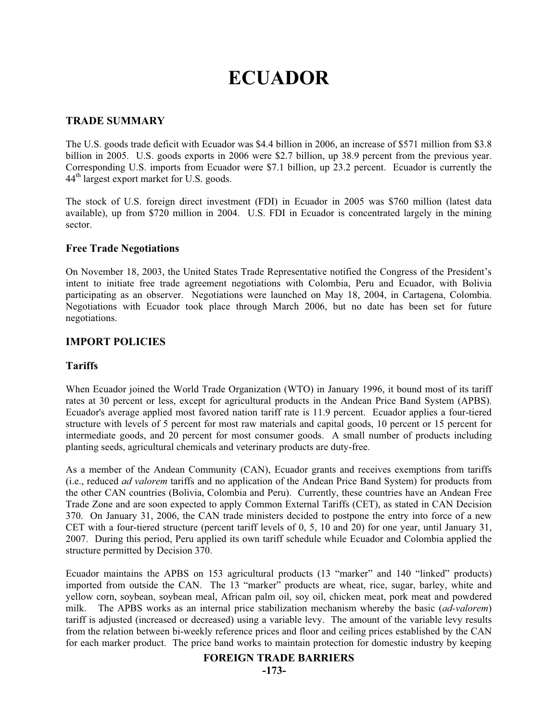# **ECUADOR**

## **TRADE SUMMARY**

The U.S. goods trade deficit with Ecuador was \$4.4 billion in 2006, an increase of \$571 million from \$3.8 billion in 2005. U.S. goods exports in 2006 were \$2.7 billion, up 38.9 percent from the previous year. Corresponding U.S. imports from Ecuador were \$7.1 billion, up 23.2 percent. Ecuador is currently the 44th largest export market for U.S. goods.

The stock of U.S. foreign direct investment (FDI) in Ecuador in 2005 was \$760 million (latest data available), up from \$720 million in 2004. U.S. FDI in Ecuador is concentrated largely in the mining sector.

#### **Free Trade Negotiations**

On November 18, 2003, the United States Trade Representative notified the Congress of the President's intent to initiate free trade agreement negotiations with Colombia, Peru and Ecuador, with Bolivia participating as an observer. Negotiations were launched on May 18, 2004, in Cartagena, Colombia. Negotiations with Ecuador took place through March 2006, but no date has been set for future negotiations.

# **IMPORT POLICIES**

### **Tariffs**

When Ecuador joined the World Trade Organization (WTO) in January 1996, it bound most of its tariff rates at 30 percent or less, except for agricultural products in the Andean Price Band System (APBS). Ecuador's average applied most favored nation tariff rate is 11.9 percent. Ecuador applies a four-tiered structure with levels of 5 percent for most raw materials and capital goods, 10 percent or 15 percent for intermediate goods, and 20 percent for most consumer goods. A small number of products including planting seeds, agricultural chemicals and veterinary products are duty-free.

As a member of the Andean Community (CAN), Ecuador grants and receives exemptions from tariffs (i.e., reduced *ad valorem* tariffs and no application of the Andean Price Band System) for products from the other CAN countries (Bolivia, Colombia and Peru). Currently, these countries have an Andean Free Trade Zone and are soon expected to apply Common External Tariffs (CET), as stated in CAN Decision 370. On January 31, 2006, the CAN trade ministers decided to postpone the entry into force of a new CET with a four-tiered structure (percent tariff levels of 0, 5, 10 and 20) for one year, until January 31, 2007. During this period, Peru applied its own tariff schedule while Ecuador and Colombia applied the structure permitted by Decision 370.

Ecuador maintains the APBS on 153 agricultural products (13 "marker" and 140 "linked" products) imported from outside the CAN. The 13 "marker" products are wheat, rice, sugar, barley, white and yellow corn, soybean, soybean meal, African palm oil, soy oil, chicken meat, pork meat and powdered milk. The APBS works as an internal price stabilization mechanism whereby the basic (*ad-valorem*) tariff is adjusted (increased or decreased) using a variable levy. The amount of the variable levy results from the relation between bi-weekly reference prices and floor and ceiling prices established by the CAN for each marker product. The price band works to maintain protection for domestic industry by keeping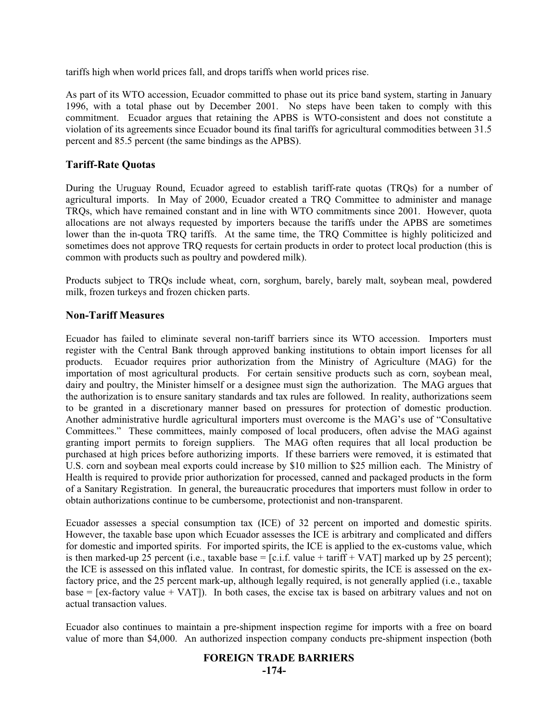tariffs high when world prices fall, and drops tariffs when world prices rise.

As part of its WTO accession, Ecuador committed to phase out its price band system, starting in January 1996, with a total phase out by December 2001. No steps have been taken to comply with this commitment. Ecuador argues that retaining the APBS is WTO-consistent and does not constitute a violation of its agreements since Ecuador bound its final tariffs for agricultural commodities between 31.5 percent and 85.5 percent (the same bindings as the APBS).

## **Tariff-Rate Quotas**

During the Uruguay Round, Ecuador agreed to establish tariff-rate quotas (TRQs) for a number of agricultural imports. In May of 2000, Ecuador created a TRQ Committee to administer and manage TRQs, which have remained constant and in line with WTO commitments since 2001. However, quota allocations are not always requested by importers because the tariffs under the APBS are sometimes lower than the in-quota TRQ tariffs. At the same time, the TRQ Committee is highly politicized and sometimes does not approve TRQ requests for certain products in order to protect local production (this is common with products such as poultry and powdered milk).

Products subject to TRQs include wheat, corn, sorghum, barely, barely malt, soybean meal, powdered milk, frozen turkeys and frozen chicken parts.

## **Non-Tariff Measures**

Ecuador has failed to eliminate several non-tariff barriers since its WTO accession. Importers must register with the Central Bank through approved banking institutions to obtain import licenses for all products. Ecuador requires prior authorization from the Ministry of Agriculture (MAG) for the importation of most agricultural products. For certain sensitive products such as corn, soybean meal, dairy and poultry, the Minister himself or a designee must sign the authorization. The MAG argues that the authorization is to ensure sanitary standards and tax rules are followed. In reality, authorizations seem to be granted in a discretionary manner based on pressures for protection of domestic production. Another administrative hurdle agricultural importers must overcome is the MAG's use of "Consultative Committees." These committees, mainly composed of local producers, often advise the MAG against granting import permits to foreign suppliers. The MAG often requires that all local production be purchased at high prices before authorizing imports. If these barriers were removed, it is estimated that U.S. corn and soybean meal exports could increase by \$10 million to \$25 million each. The Ministry of Health is required to provide prior authorization for processed, canned and packaged products in the form of a Sanitary Registration. In general, the bureaucratic procedures that importers must follow in order to obtain authorizations continue to be cumbersome, protectionist and non-transparent.

Ecuador assesses a special consumption tax (ICE) of 32 percent on imported and domestic spirits. However, the taxable base upon which Ecuador assesses the ICE is arbitrary and complicated and differs for domestic and imported spirits. For imported spirits, the ICE is applied to the ex-customs value, which is then marked-up 25 percent (i.e., taxable base = [c.i.f. value + tariff + VAT] marked up by 25 percent); the ICE is assessed on this inflated value. In contrast, for domestic spirits, the ICE is assessed on the exfactory price, and the 25 percent mark-up, although legally required, is not generally applied (i.e., taxable  $base = [ex-factory value + VAT]$ . In both cases, the excise tax is based on arbitrary values and not on actual transaction values.

Ecuador also continues to maintain a pre-shipment inspection regime for imports with a free on board value of more than \$4,000. An authorized inspection company conducts pre-shipment inspection (both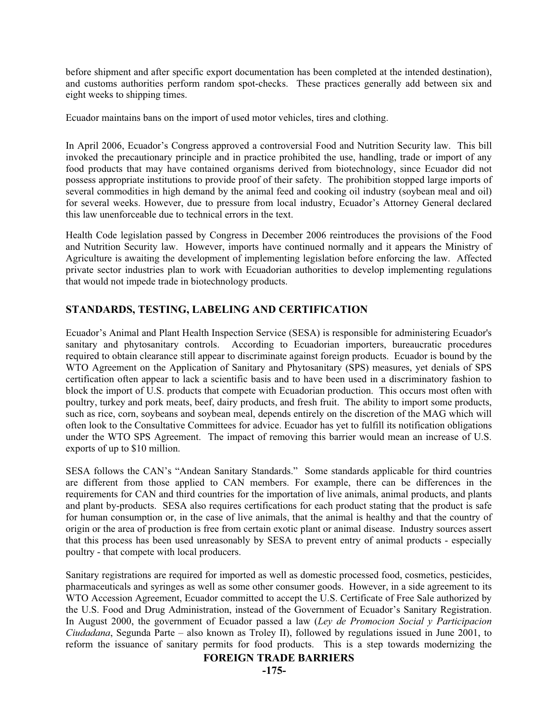before shipment and after specific export documentation has been completed at the intended destination), and customs authorities perform random spot-checks. These practices generally add between six and eight weeks to shipping times.

Ecuador maintains bans on the import of used motor vehicles, tires and clothing.

In April 2006, Ecuador's Congress approved a controversial Food and Nutrition Security law. This bill invoked the precautionary principle and in practice prohibited the use, handling, trade or import of any food products that may have contained organisms derived from biotechnology, since Ecuador did not possess appropriate institutions to provide proof of their safety. The prohibition stopped large imports of several commodities in high demand by the animal feed and cooking oil industry (soybean meal and oil) for several weeks. However, due to pressure from local industry, Ecuador's Attorney General declared this law unenforceable due to technical errors in the text.

Health Code legislation passed by Congress in December 2006 reintroduces the provisions of the Food and Nutrition Security law. However, imports have continued normally and it appears the Ministry of Agriculture is awaiting the development of implementing legislation before enforcing the law. Affected private sector industries plan to work with Ecuadorian authorities to develop implementing regulations that would not impede trade in biotechnology products.

# **STANDARDS, TESTING, LABELING AND CERTIFICATION**

Ecuador's Animal and Plant Health Inspection Service (SESA) is responsible for administering Ecuador's sanitary and phytosanitary controls. According to Ecuadorian importers, bureaucratic procedures required to obtain clearance still appear to discriminate against foreign products. Ecuador is bound by the WTO Agreement on the Application of Sanitary and Phytosanitary (SPS) measures, yet denials of SPS certification often appear to lack a scientific basis and to have been used in a discriminatory fashion to block the import of U.S. products that compete with Ecuadorian production. This occurs most often with poultry, turkey and pork meats, beef, dairy products, and fresh fruit. The ability to import some products, such as rice, corn, soybeans and soybean meal, depends entirely on the discretion of the MAG which will often look to the Consultative Committees for advice. Ecuador has yet to fulfill its notification obligations under the WTO SPS Agreement. The impact of removing this barrier would mean an increase of U.S. exports of up to \$10 million.

SESA follows the CAN's "Andean Sanitary Standards." Some standards applicable for third countries are different from those applied to CAN members. For example, there can be differences in the requirements for CAN and third countries for the importation of live animals, animal products, and plants and plant by-products. SESA also requires certifications for each product stating that the product is safe for human consumption or, in the case of live animals, that the animal is healthy and that the country of origin or the area of production is free from certain exotic plant or animal disease. Industry sources assert that this process has been used unreasonably by SESA to prevent entry of animal products - especially poultry - that compete with local producers.

Sanitary registrations are required for imported as well as domestic processed food, cosmetics, pesticides, pharmaceuticals and syringes as well as some other consumer goods. However, in a side agreement to its WTO Accession Agreement, Ecuador committed to accept the U.S. Certificate of Free Sale authorized by the U.S. Food and Drug Administration, instead of the Government of Ecuador's Sanitary Registration. In August 2000, the government of Ecuador passed a law (*Ley de Promocion Social y Participacion Ciudadana*, Segunda Parte – also known as Troley II), followed by regulations issued in June 2001, to reform the issuance of sanitary permits for food products. This is a step towards modernizing the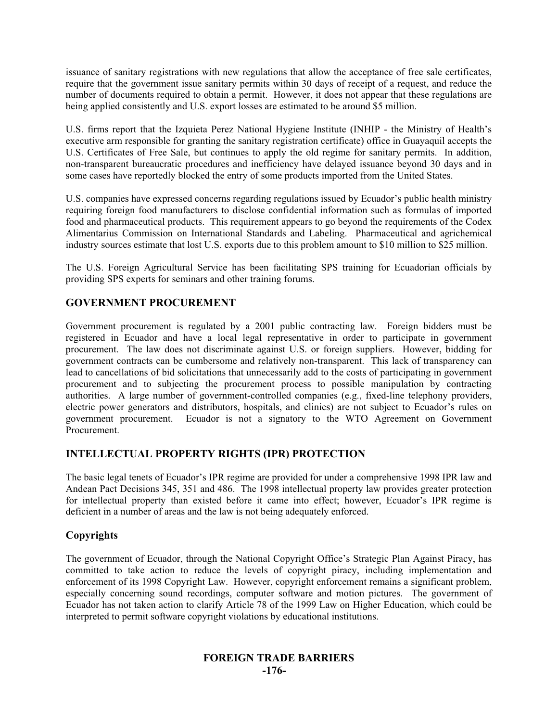issuance of sanitary registrations with new regulations that allow the acceptance of free sale certificates, require that the government issue sanitary permits within 30 days of receipt of a request, and reduce the number of documents required to obtain a permit. However, it does not appear that these regulations are being applied consistently and U.S. export losses are estimated to be around \$5 million.

U.S. firms report that the Izquieta Perez National Hygiene Institute (INHIP - the Ministry of Health's executive arm responsible for granting the sanitary registration certificate) office in Guayaquil accepts the U.S. Certificates of Free Sale, but continues to apply the old regime for sanitary permits. In addition, non-transparent bureaucratic procedures and inefficiency have delayed issuance beyond 30 days and in some cases have reportedly blocked the entry of some products imported from the United States.

U.S. companies have expressed concerns regarding regulations issued by Ecuador's public health ministry requiring foreign food manufacturers to disclose confidential information such as formulas of imported food and pharmaceutical products. This requirement appears to go beyond the requirements of the Codex Alimentarius Commission on International Standards and Labeling. Pharmaceutical and agrichemical industry sources estimate that lost U.S. exports due to this problem amount to \$10 million to \$25 million.

The U.S. Foreign Agricultural Service has been facilitating SPS training for Ecuadorian officials by providing SPS experts for seminars and other training forums.

# **GOVERNMENT PROCUREMENT**

Government procurement is regulated by a 2001 public contracting law. Foreign bidders must be registered in Ecuador and have a local legal representative in order to participate in government procurement. The law does not discriminate against U.S. or foreign suppliers. However, bidding for government contracts can be cumbersome and relatively non-transparent. This lack of transparency can lead to cancellations of bid solicitations that unnecessarily add to the costs of participating in government procurement and to subjecting the procurement process to possible manipulation by contracting authorities. A large number of government-controlled companies (e.g., fixed-line telephony providers, electric power generators and distributors, hospitals, and clinics) are not subject to Ecuador's rules on government procurement. Ecuador is not a signatory to the WTO Agreement on Government Procurement.

# **INTELLECTUAL PROPERTY RIGHTS (IPR) PROTECTION**

The basic legal tenets of Ecuador's IPR regime are provided for under a comprehensive 1998 IPR law and Andean Pact Decisions 345, 351 and 486. The 1998 intellectual property law provides greater protection for intellectual property than existed before it came into effect; however, Ecuador's IPR regime is deficient in a number of areas and the law is not being adequately enforced.

# **Copyrights**

The government of Ecuador, through the National Copyright Office's Strategic Plan Against Piracy, has committed to take action to reduce the levels of copyright piracy, including implementation and enforcement of its 1998 Copyright Law. However, copyright enforcement remains a significant problem, especially concerning sound recordings, computer software and motion pictures. The government of Ecuador has not taken action to clarify Article 78 of the 1999 Law on Higher Education, which could be interpreted to permit software copyright violations by educational institutions.

# **FOREIGN TRADE BARRIERS -176-**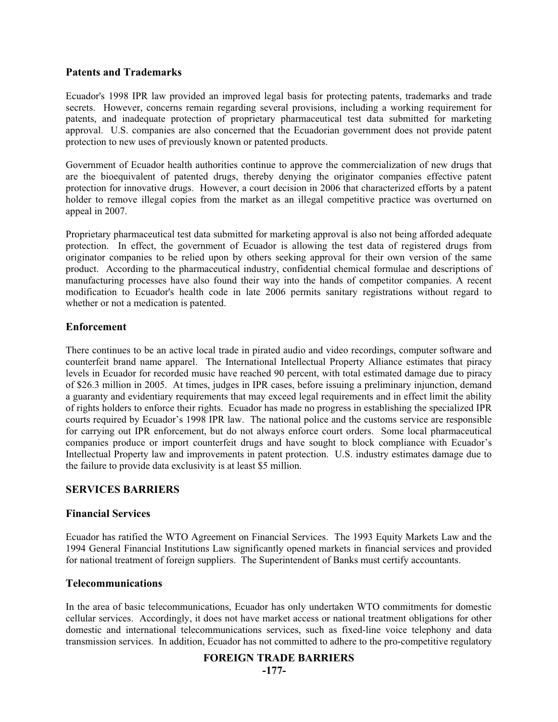## **Patents and Trademarks**

Ecuador's 1998 IPR law provided an improved legal basis for protecting patents, trademarks and trade secrets. However, concerns remain regarding several provisions, including a working requirement for patents, and inadequate protection of proprietary pharmaceutical test data submitted for marketing approval. U.S. companies are also concerned that the Ecuadorian government does not provide patent protection to new uses of previously known or patented products.

Government of Ecuador health authorities continue to approve the commercialization of new drugs that are the bioequivalent of patented drugs, thereby denying the originator companies effective patent protection for innovative drugs. However, a court decision in 2006 that characterized efforts by a patent holder to remove illegal copies from the market as an illegal competitive practice was overturned on appeal in 2007.

Proprietary pharmaceutical test data submitted for marketing approval is also not being afforded adequate protection. In effect, the government of Ecuador is allowing the test data of registered drugs from originator companies to be relied upon by others seeking approval for their own version of the same product. According to the pharmaceutical industry, confidential chemical formulae and descriptions of manufacturing processes have also found their way into the hands of competitor companies. A recent modification to Ecuador's health code in late 2006 permits sanitary registrations without regard to whether or not a medication is patented.

# **Enforcement**

There continues to be an active local trade in pirated audio and video recordings, computer software and counterfeit brand name apparel. The International Intellectual Property Alliance estimates that piracy levels in Ecuador for recorded music have reached 90 percent, with total estimated damage due to piracy of \$26.3 million in 2005. At times, judges in IPR cases, before issuing a preliminary injunction, demand a guaranty and evidentiary requirements that may exceed legal requirements and in effect limit the ability of rights holders to enforce their rights. Ecuador has made no progress in establishing the specialized IPR courts required by Ecuador's 1998 IPR law. The national police and the customs service are responsible for carrying out IPR enforcement, but do not always enforce court orders. Some local pharmaceutical companies produce or import counterfeit drugs and have sought to block compliance with Ecuador's Intellectual Property law and improvements in patent protection. U.S. industry estimates damage due to the failure to provide data exclusivity is at least \$5 million.

# **SERVICES BARRIERS**

#### **Financial Services**

Ecuador has ratified the WTO Agreement on Financial Services. The 1993 Equity Markets Law and the 1994 General Financial Institutions Law significantly opened markets in financial services and provided for national treatment of foreign suppliers. The Superintendent of Banks must certify accountants.

#### **Telecommunications**

In the area of basic telecommunications, Ecuador has only undertaken WTO commitments for domestic cellular services. Accordingly, it does not have market access or national treatment obligations for other domestic and international telecommunications services, such as fixed-line voice telephony and data transmission services. In addition, Ecuador has not committed to adhere to the pro-competitive regulatory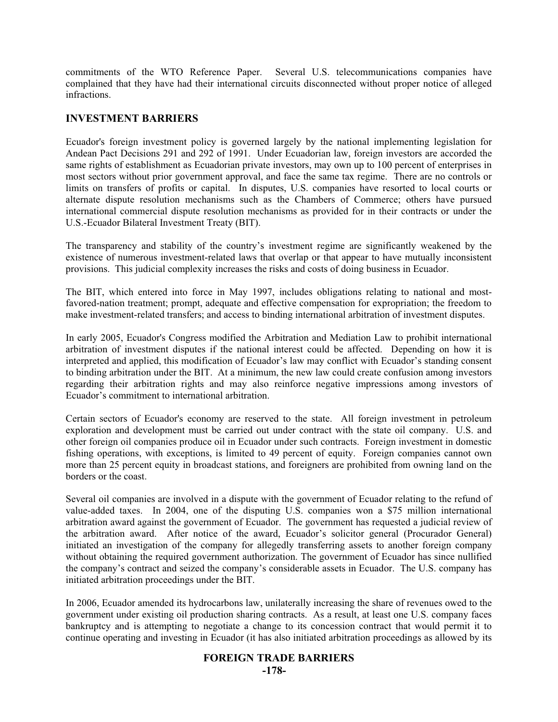commitments of the WTO Reference Paper. Several U.S. telecommunications companies have complained that they have had their international circuits disconnected without proper notice of alleged infractions.

#### **INVESTMENT BARRIERS**

Ecuador's foreign investment policy is governed largely by the national implementing legislation for Andean Pact Decisions 291 and 292 of 1991. Under Ecuadorian law, foreign investors are accorded the same rights of establishment as Ecuadorian private investors, may own up to 100 percent of enterprises in most sectors without prior government approval, and face the same tax regime. There are no controls or limits on transfers of profits or capital. In disputes, U.S. companies have resorted to local courts or alternate dispute resolution mechanisms such as the Chambers of Commerce; others have pursued international commercial dispute resolution mechanisms as provided for in their contracts or under the U.S.-Ecuador Bilateral Investment Treaty (BIT).

The transparency and stability of the country's investment regime are significantly weakened by the existence of numerous investment-related laws that overlap or that appear to have mutually inconsistent provisions. This judicial complexity increases the risks and costs of doing business in Ecuador.

The BIT, which entered into force in May 1997, includes obligations relating to national and mostfavored-nation treatment; prompt, adequate and effective compensation for expropriation; the freedom to make investment-related transfers; and access to binding international arbitration of investment disputes.

In early 2005, Ecuador's Congress modified the Arbitration and Mediation Law to prohibit international arbitration of investment disputes if the national interest could be affected. Depending on how it is interpreted and applied, this modification of Ecuador's law may conflict with Ecuador's standing consent to binding arbitration under the BIT. At a minimum, the new law could create confusion among investors regarding their arbitration rights and may also reinforce negative impressions among investors of Ecuador's commitment to international arbitration.

Certain sectors of Ecuador's economy are reserved to the state. All foreign investment in petroleum exploration and development must be carried out under contract with the state oil company. U.S. and other foreign oil companies produce oil in Ecuador under such contracts. Foreign investment in domestic fishing operations, with exceptions, is limited to 49 percent of equity. Foreign companies cannot own more than 25 percent equity in broadcast stations, and foreigners are prohibited from owning land on the borders or the coast.

Several oil companies are involved in a dispute with the government of Ecuador relating to the refund of value-added taxes. In 2004, one of the disputing U.S. companies won a \$75 million international arbitration award against the government of Ecuador. The government has requested a judicial review of the arbitration award. After notice of the award, Ecuador's solicitor general (Procurador General) initiated an investigation of the company for allegedly transferring assets to another foreign company without obtaining the required government authorization. The government of Ecuador has since nullified the company's contract and seized the company's considerable assets in Ecuador. The U.S. company has initiated arbitration proceedings under the BIT.

In 2006, Ecuador amended its hydrocarbons law, unilaterally increasing the share of revenues owed to the government under existing oil production sharing contracts. As a result, at least one U.S. company faces bankruptcy and is attempting to negotiate a change to its concession contract that would permit it to continue operating and investing in Ecuador (it has also initiated arbitration proceedings as allowed by its